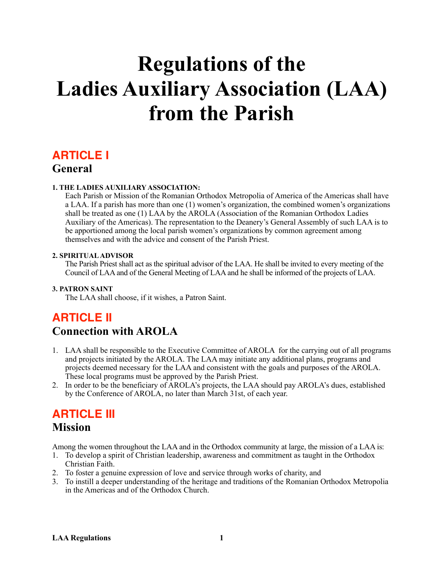# **Regulations of the Ladies Auxiliary Association (LAA) from the Parish**

## **ARTICLE I General**

#### **1. THE LADIES AUXILIARY ASSOCIATION:**

Each Parish or Mission of the Romanian Orthodox Metropolia of America of the Americas shall have a LAA. If a parish has more than one (1) women's organization, the combined women's organizations shall be treated as one (1) LAA by the AROLA (Association of the Romanian Orthodox Ladies Auxiliary of the Americas). The representation to the Deanery's General Assembly of such LAA is to be apportioned among the local parish women's organizations by common agreement among themselves and with the advice and consent of the Parish Priest.

#### **2. SPIRITUAL ADVISOR**

The Parish Priest shall act as the spiritual advisor of the LAA. He shall be invited to every meeting of the Council of LAA and of the General Meeting of LAA and he shall be informed of the projects of LAA.

#### **3. PATRON SAINT**

The LAA shall choose, if it wishes, a Patron Saint.

# **ARTICLE II Connection with AROLA**

- 1. LAA shall be responsible to the Executive Committee of AROLA for the carrying out of all programs and projects initiated by the AROLA. The LAA may initiate any additional plans, programs and projects deemed necessary for the LAA and consistent with the goals and purposes of the AROLA. These local programs must be approved by the Parish Priest.
- 2. In order to be the beneficiary of AROLA's projects, the LAA should pay AROLA's dues, established by the Conference of AROLA, no later than March 31st, of each year.

### **ARTICLE III**

### **Mission**

Among the women throughout the LAA and in the Orthodox community at large, the mission of a LAA is:

- 1. To develop a spirit of Christian leadership, awareness and commitment as taught in the Orthodox Christian Faith.
- 2. To foster a genuine expression of love and service through works of charity, and
- 3. To instill a deeper understanding of the heritage and traditions of the Romanian Orthodox Metropolia in the Americas and of the Orthodox Church.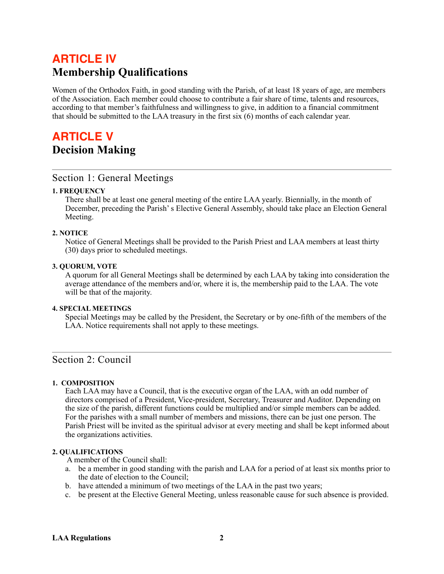# **ARTICLE IV Membership Qualifications**

Women of the Orthodox Faith, in good standing with the Parish, of at least 18 years of age, are members of the Association. Each member could choose to contribute a fair share of time, talents and resources, according to that member's faithfulness and willingness to give, in addition to a financial commitment that should be submitted to the LAA treasury in the first six (6) months of each calendar year.

# **ARTICLE V Decision Making**

### Section 1: General Meetings

#### **1. FREQUENCY**

There shall be at least one general meeting of the entire LAA yearly. Biennially, in the month of December, preceding the Parish' s Elective General Assembly, should take place an Election General Meeting.

#### **2. NOTICE**

Notice of General Meetings shall be provided to the Parish Priest and LAA members at least thirty (30) days prior to scheduled meetings.

#### **3. QUORUM, VOTE**

A quorum for all General Meetings shall be determined by each LAA by taking into consideration the average attendance of the members and/or, where it is, the membership paid to the LAA. The vote will be that of the majority.

#### **4. SPECIAL MEETINGS**

Special Meetings may be called by the President, the Secretary or by one-fifth of the members of the LAA. Notice requirements shall not apply to these meetings.

### Section 2: Council

#### **1. COMPOSITION**

Each LAA may have a Council, that is the executive organ of the LAA, with an odd number of directors comprised of a President, Vice-president, Secretary, Treasurer and Auditor. Depending on the size of the parish, different functions could be multiplied and/or simple members can be added. For the parishes with a small number of members and missions, there can be just one person. The Parish Priest will be invited as the spiritual advisor at every meeting and shall be kept informed about the organizations activities.

#### **2. QUALIFICATIONS**

A member of the Council shall:

- a. be a member in good standing with the parish and LAA for a period of at least six months prior to the date of election to the Council;
- b. have attended a minimum of two meetings of the LAA in the past two years;
- c. be present at the Elective General Meeting, unless reasonable cause for such absence is provided.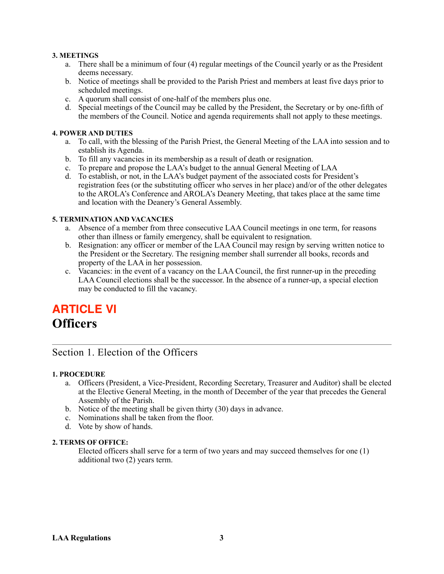#### **3. MEETINGS**

- a. There shall be a minimum of four (4) regular meetings of the Council yearly or as the President deems necessary.
- b. Notice of meetings shall be provided to the Parish Priest and members at least five days prior to scheduled meetings.
- c. A quorum shall consist of one-half of the members plus one.
- d. Special meetings of the Council may be called by the President, the Secretary or by one-fifth of the members of the Council. Notice and agenda requirements shall not apply to these meetings.

#### **4. POWER AND DUTIES**

- a. To call, with the blessing of the Parish Priest, the General Meeting of the LAA into session and to establish its Agenda.
- b. To fill any vacancies in its membership as a result of death or resignation.
- c. To prepare and propose the LAA's budget to the annual General Meeting of LAA
- d. To establish, or not, in the LAA's budget payment of the associated costs for President's registration fees (or the substituting officer who serves in her place) and/or of the other delegates to the AROLA's Conference and AROLA's Deanery Meeting, that takes place at the same time and location with the Deanery's General Assembly.

#### **5. TERMINATION AND VACANCIES**

- a. Absence of a member from three consecutive LAA Council meetings in one term, for reasons other than illness or family emergency, shall be equivalent to resignation.
- b. Resignation: any officer or member of the LAA Council may resign by serving written notice to the President or the Secretary. The resigning member shall surrender all books, records and property of the LAA in her possession.
- c. Vacancies: in the event of a vacancy on the LAA Council, the first runner-up in the preceding LAA Council elections shall be the successor. In the absence of a runner-up, a special election may be conducted to fill the vacancy.

# **ARTICLE VI Officers**

### Section 1. Election of the Officers

#### **1. PROCEDURE**

- a. Officers (President, a Vice-President, Recording Secretary, Treasurer and Auditor) shall be elected at the Elective General Meeting, in the month of December of the year that precedes the General Assembly of the Parish.
- b. Notice of the meeting shall be given thirty (30) days in advance.
- c. Nominations shall be taken from the floor.
- d. Vote by show of hands.

#### **2. TERMS OF OFFICE:**

Elected officers shall serve for a term of two years and may succeed themselves for one (1) additional two (2) years term.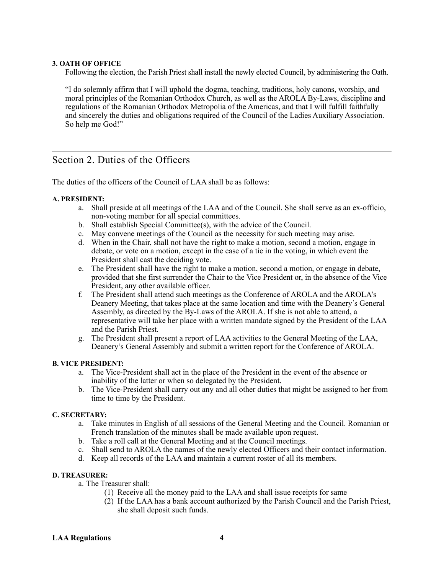#### **3. OATH OF OFFICE**

Following the election, the Parish Priest shall install the newly elected Council, by administering the Oath.

"I do solemnly affirm that I will uphold the dogma, teaching, traditions, holy canons, worship, and moral principles of the Romanian Orthodox Church, as well as the AROLA By-Laws, discipline and regulations of the Romanian Orthodox Metropolia of the Americas, and that I will fulfill faithfully and sincerely the duties and obligations required of the Council of the Ladies Auxiliary Association. So help me God!"

### Section 2. Duties of the Officers

The duties of the officers of the Council of LAA shall be as follows:

#### **A. PRESIDENT:**

- a. Shall preside at all meetings of the LAA and of the Council. She shall serve as an ex-officio, non-voting member for all special committees.
- b. Shall establish Special Committee(s), with the advice of the Council.
- c. May convene meetings of the Council as the necessity for such meeting may arise.
- d. When in the Chair, shall not have the right to make a motion, second a motion, engage in debate, or vote on a motion, except in the case of a tie in the voting, in which event the President shall cast the deciding vote.
- e. The President shall have the right to make a motion, second a motion, or engage in debate, provided that she first surrender the Chair to the Vice President or, in the absence of the Vice President, any other available officer.
- f. The President shall attend such meetings as the Conference of AROLA and the AROLA's Deanery Meeting, that takes place at the same location and time with the Deanery's General Assembly, as directed by the By-Laws of the AROLA. If she is not able to attend, a representative will take her place with a written mandate signed by the President of the LAA and the Parish Priest.
- g. The President shall present a report of LAA activities to the General Meeting of the LAA, Deanery's General Assembly and submit a written report for the Conference of AROLA.

#### **B. VICE PRESIDENT:**

- a. The Vice-President shall act in the place of the President in the event of the absence or inability of the latter or when so delegated by the President.
- b. The Vice-President shall carry out any and all other duties that might be assigned to her from time to time by the President.

#### **C. SECRETARY:**

- a. Take minutes in English of all sessions of the General Meeting and the Council. Romanian or French translation of the minutes shall be made available upon request.
- b. Take a roll call at the General Meeting and at the Council meetings.
- c. Shall send to AROLA the names of the newly elected Officers and their contact information.
- d. Keep all records of the LAA and maintain a current roster of all its members.

#### **D. TREASURER:**

- a. The Treasurer shall:
	- (1) Receive all the money paid to the LAA and shall issue receipts for same
	- (2) If the LAA has a bank account authorized by the Parish Council and the Parish Priest, she shall deposit such funds.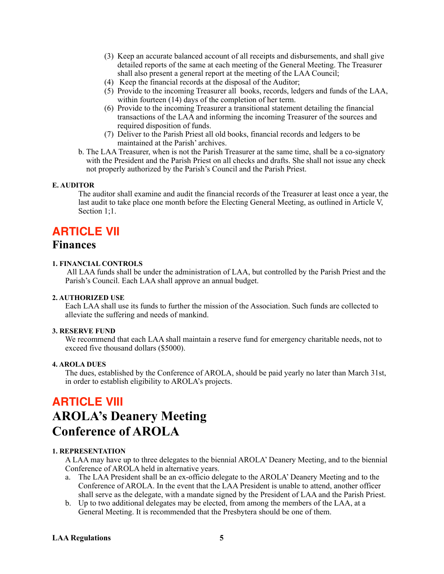- (3) Keep an accurate balanced account of all receipts and disbursements, and shall give detailed reports of the same at each meeting of the General Meeting. The Treasurer shall also present a general report at the meeting of the LAA Council;
- (4) Keep the financial records at the disposal of the Auditor;
- (5) Provide to the incoming Treasurer all books, records, ledgers and funds of the LAA, within fourteen (14) days of the completion of her term.
- (6) Provide to the incoming Treasurer a transitional statement detailing the financial transactions of the LAA and informing the incoming Treasurer of the sources and required disposition of funds.
- (7) Deliver to the Parish Priest all old books, financial records and ledgers to be maintained at the Parish' archives.
- b. The LAA Treasurer, when is not the Parish Treasurer at the same time, shall be a co-signatory with the President and the Parish Priest on all checks and drafts. She shall not issue any check not properly authorized by the Parish's Council and the Parish Priest.

#### **E. AUDITOR**

The auditor shall examine and audit the financial records of the Treasurer at least once a year, the last audit to take place one month before the Electing General Meeting, as outlined in Article V, Section 1:1.

### **ARTICLE VII Finances**

#### **1. FINANCIAL CONTROLS**

 All LAA funds shall be under the administration of LAA, but controlled by the Parish Priest and the Parish's Council. Each LAA shall approve an annual budget.

#### **2. AUTHORIZED USE**

Each LAA shall use its funds to further the mission of the Association. Such funds are collected to alleviate the suffering and needs of mankind.

#### **3. RESERVE FUND**

We recommend that each LAA shall maintain a reserve fund for emergency charitable needs, not to exceed five thousand dollars (\$5000).

#### **4. AROLA DUES**

The dues, established by the Conference of AROLA, should be paid yearly no later than March 31st, in order to establish eligibility to AROLA's projects.

# **ARTICLE VIII AROLA's Deanery Meeting Conference of AROLA**

#### **1. REPRESENTATION**

A LAA may have up to three delegates to the biennial AROLA' Deanery Meeting, and to the biennial Conference of AROLA held in alternative years.

- a. The LAA President shall be an ex-officio delegate to the AROLA' Deanery Meeting and to the Conference of AROLA. In the event that the LAA President is unable to attend, another officer shall serve as the delegate, with a mandate signed by the President of LAA and the Parish Priest.
- b. Up to two additional delegates may be elected, from among the members of the LAA, at a General Meeting. It is recommended that the Presbytera should be one of them.